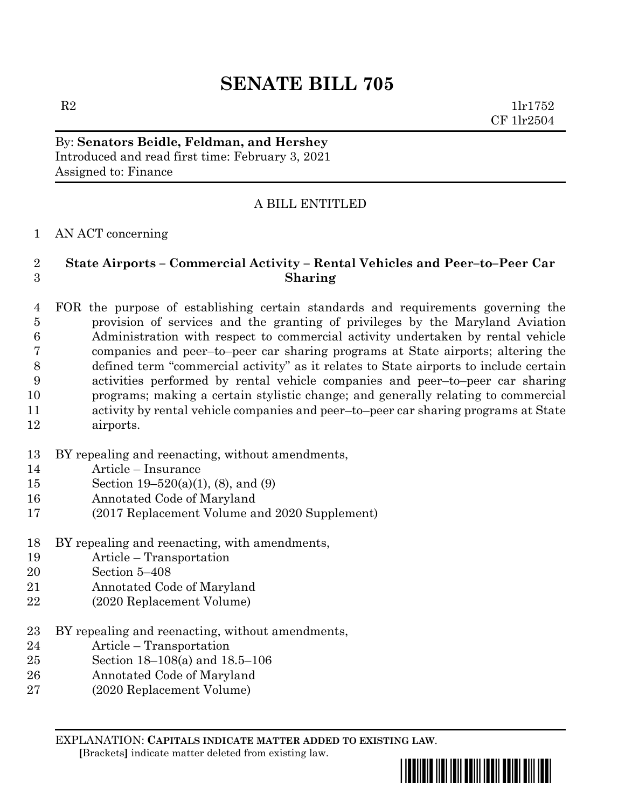# **SENATE BILL 705**

 $R2$  1lr1752 CF 1lr2504

By: **Senators Beidle, Feldman, and Hershey** Introduced and read first time: February 3, 2021 Assigned to: Finance

## A BILL ENTITLED

### AN ACT concerning

## **State Airports – Commercial Activity – Rental Vehicles and Peer–to–Peer Car Sharing**

 FOR the purpose of establishing certain standards and requirements governing the provision of services and the granting of privileges by the Maryland Aviation Administration with respect to commercial activity undertaken by rental vehicle companies and peer–to–peer car sharing programs at State airports; altering the defined term "commercial activity" as it relates to State airports to include certain activities performed by rental vehicle companies and peer–to–peer car sharing programs; making a certain stylistic change; and generally relating to commercial activity by rental vehicle companies and peer–to–peer car sharing programs at State airports.

- BY repealing and reenacting, without amendments,
- Article Insurance
- Section 19–520(a)(1), (8), and (9)
- Annotated Code of Maryland
- (2017 Replacement Volume and 2020 Supplement)
- BY repealing and reenacting, with amendments,
- Article Transportation
- Section 5–408
- Annotated Code of Maryland
- (2020 Replacement Volume)
- BY repealing and reenacting, without amendments,
- Article Transportation
- Section 18–108(a) and 18.5–106
- Annotated Code of Maryland
- (2020 Replacement Volume)

EXPLANATION: **CAPITALS INDICATE MATTER ADDED TO EXISTING LAW**.  **[**Brackets**]** indicate matter deleted from existing law.

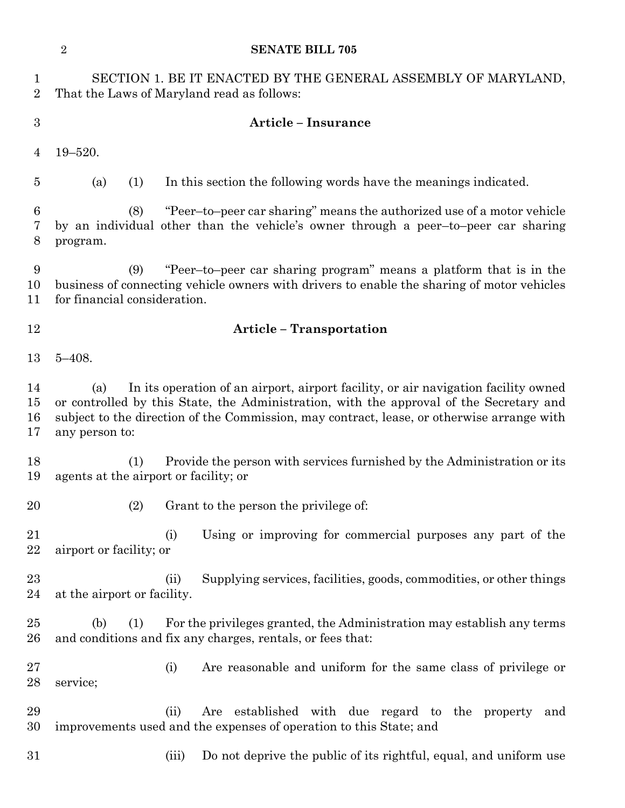|                               | $\overline{2}$                                                                                                                                                                                                                                                                                       | <b>SENATE BILL 705</b>                                                                                                                                       |
|-------------------------------|------------------------------------------------------------------------------------------------------------------------------------------------------------------------------------------------------------------------------------------------------------------------------------------------------|--------------------------------------------------------------------------------------------------------------------------------------------------------------|
| $\mathbf 1$<br>$\overline{2}$ | SECTION 1. BE IT ENACTED BY THE GENERAL ASSEMBLY OF MARYLAND,<br>That the Laws of Maryland read as follows:                                                                                                                                                                                          |                                                                                                                                                              |
| 3                             | <b>Article - Insurance</b>                                                                                                                                                                                                                                                                           |                                                                                                                                                              |
| 4                             | $19 - 520.$                                                                                                                                                                                                                                                                                          |                                                                                                                                                              |
| 5                             | (1)<br>(a)                                                                                                                                                                                                                                                                                           | In this section the following words have the meanings indicated.                                                                                             |
| 6<br>7<br>8                   | (8)<br>program.                                                                                                                                                                                                                                                                                      | "Peer-to-peer car sharing" means the authorized use of a motor vehicle<br>by an individual other than the vehicle's owner through a peer-to-peer car sharing |
| 9<br>10<br>11                 | "Peer-to-peer car sharing program" means a platform that is in the<br>(9)<br>business of connecting vehicle owners with drivers to enable the sharing of motor vehicles<br>for financial consideration.                                                                                              |                                                                                                                                                              |
| 12                            | <b>Article - Transportation</b>                                                                                                                                                                                                                                                                      |                                                                                                                                                              |
| 13                            | $5 - 408.$                                                                                                                                                                                                                                                                                           |                                                                                                                                                              |
| 14<br>15<br>16<br>17          | In its operation of an airport, airport facility, or air navigation facility owned<br>(a)<br>or controlled by this State, the Administration, with the approval of the Secretary and<br>subject to the direction of the Commission, may contract, lease, or otherwise arrange with<br>any person to: |                                                                                                                                                              |
| 18<br>19                      | (1)<br>agents at the airport or facility; or                                                                                                                                                                                                                                                         | Provide the person with services furnished by the Administration or its                                                                                      |
| 20                            | (2)                                                                                                                                                                                                                                                                                                  | Grant to the person the privilege of:                                                                                                                        |
| 21<br>22                      | (i)<br>airport or facility; or                                                                                                                                                                                                                                                                       | Using or improving for commercial purposes any part of the                                                                                                   |
| 23<br>24                      | (ii)<br>at the airport or facility.                                                                                                                                                                                                                                                                  | Supplying services, facilities, goods, commodities, or other things                                                                                          |
| 25<br>26                      | (b)<br>(1)                                                                                                                                                                                                                                                                                           | For the privileges granted, the Administration may establish any terms<br>and conditions and fix any charges, rentals, or fees that:                         |
| 27<br>28                      | (i)<br>service;                                                                                                                                                                                                                                                                                      | Are reasonable and uniform for the same class of privilege or                                                                                                |
| 29<br>30                      | (ii)                                                                                                                                                                                                                                                                                                 | Are established with due regard to the property and<br>improvements used and the expenses of operation to this State; and                                    |
| 31                            | (iii)                                                                                                                                                                                                                                                                                                | Do not deprive the public of its rightful, equal, and uniform use                                                                                            |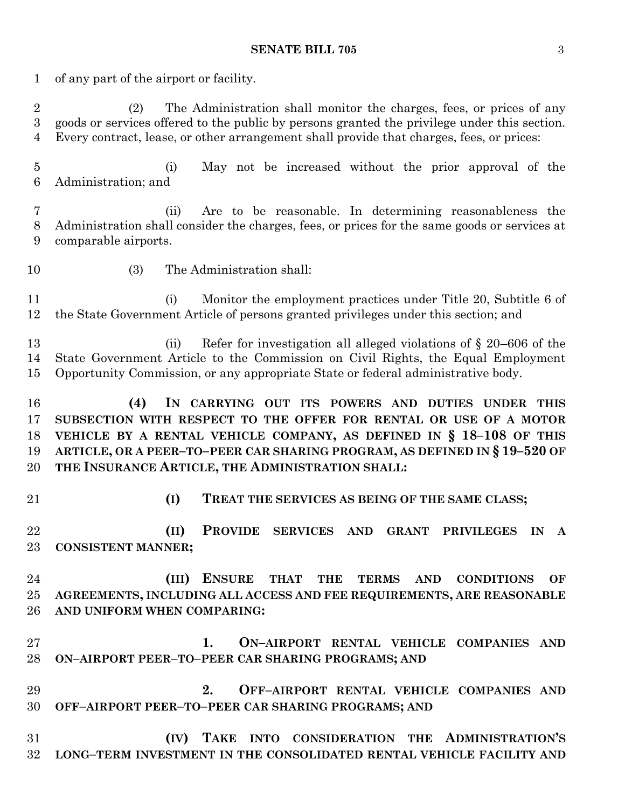#### **SENATE BILL 705** 3

 of any part of the airport or facility. (2) The Administration shall monitor the charges, fees, or prices of any goods or services offered to the public by persons granted the privilege under this section. Every contract, lease, or other arrangement shall provide that charges, fees, or prices: (i) May not be increased without the prior approval of the Administration; and (ii) Are to be reasonable. In determining reasonableness the Administration shall consider the charges, fees, or prices for the same goods or services at comparable airports. (3) The Administration shall: (i) Monitor the employment practices under Title 20, Subtitle 6 of the State Government Article of persons granted privileges under this section; and 13 (ii) Refer for investigation all alleged violations of  $\S$  20–606 of the State Government Article to the Commission on Civil Rights, the Equal Employment Opportunity Commission, or any appropriate State or federal administrative body. **(4) IN CARRYING OUT ITS POWERS AND DUTIES UNDER THIS SUBSECTION WITH RESPECT TO THE OFFER FOR RENTAL OR USE OF A MOTOR VEHICLE BY A RENTAL VEHICLE COMPANY, AS DEFINED IN § 18–108 OF THIS ARTICLE, OR A PEER–TO–PEER CAR SHARING PROGRAM, AS DEFINED IN § 19–520 OF THE INSURANCE ARTICLE, THE ADMINISTRATION SHALL: (I) TREAT THE SERVICES AS BEING OF THE SAME CLASS; (II) PROVIDE SERVICES AND GRANT PRIVILEGES IN A CONSISTENT MANNER; (III) ENSURE THAT THE TERMS AND CONDITIONS OF AGREEMENTS, INCLUDING ALL ACCESS AND FEE REQUIREMENTS, ARE REASONABLE AND UNIFORM WHEN COMPARING: 1. ON–AIRPORT RENTAL VEHICLE COMPANIES AND ON–AIRPORT PEER–TO–PEER CAR SHARING PROGRAMS; AND 2. OFF–AIRPORT RENTAL VEHICLE COMPANIES AND OFF–AIRPORT PEER–TO–PEER CAR SHARING PROGRAMS; AND (IV) TAKE INTO CONSIDERATION THE ADMINISTRATION'S LONG–TERM INVESTMENT IN THE CONSOLIDATED RENTAL VEHICLE FACILITY AND**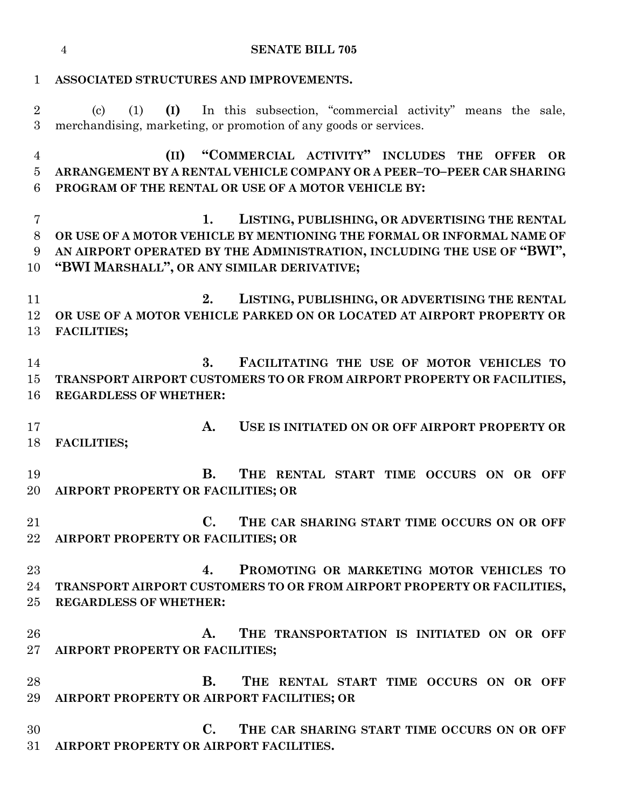**ASSOCIATED STRUCTURES AND IMPROVEMENTS.** (c) (1) **(I)** In this subsection, "commercial activity" means the sale, merchandising, marketing, or promotion of any goods or services.

 **(II) "COMMERCIAL ACTIVITY" INCLUDES THE OFFER OR ARRANGEMENT BY A RENTAL VEHICLE COMPANY OR A PEER–TO–PEER CAR SHARING PROGRAM OF THE RENTAL OR USE OF A MOTOR VEHICLE BY:**

 **1. LISTING, PUBLISHING, OR ADVERTISING THE RENTAL OR USE OF A MOTOR VEHICLE BY MENTIONING THE FORMAL OR INFORMAL NAME OF AN AIRPORT OPERATED BY THE ADMINISTRATION, INCLUDING THE USE OF "BWI", "BWI MARSHALL", OR ANY SIMILAR DERIVATIVE;**

 **2. LISTING, PUBLISHING, OR ADVERTISING THE RENTAL OR USE OF A MOTOR VEHICLE PARKED ON OR LOCATED AT AIRPORT PROPERTY OR FACILITIES;**

 **3. FACILITATING THE USE OF MOTOR VEHICLES TO TRANSPORT AIRPORT CUSTOMERS TO OR FROM AIRPORT PROPERTY OR FACILITIES, REGARDLESS OF WHETHER:**

 **A. USE IS INITIATED ON OR OFF AIRPORT PROPERTY OR FACILITIES;**

 **B. THE RENTAL START TIME OCCURS ON OR OFF AIRPORT PROPERTY OR FACILITIES; OR** 

 **C. THE CAR SHARING START TIME OCCURS ON OR OFF AIRPORT PROPERTY OR FACILITIES; OR** 

 **4. PROMOTING OR MARKETING MOTOR VEHICLES TO TRANSPORT AIRPORT CUSTOMERS TO OR FROM AIRPORT PROPERTY OR FACILITIES, REGARDLESS OF WHETHER:**

 **A. THE TRANSPORTATION IS INITIATED ON OR OFF AIRPORT PROPERTY OR FACILITIES;**

 **B. THE RENTAL START TIME OCCURS ON OR OFF AIRPORT PROPERTY OR AIRPORT FACILITIES; OR**

 **C. THE CAR SHARING START TIME OCCURS ON OR OFF AIRPORT PROPERTY OR AIRPORT FACILITIES.**

#### **SENATE BILL 705**